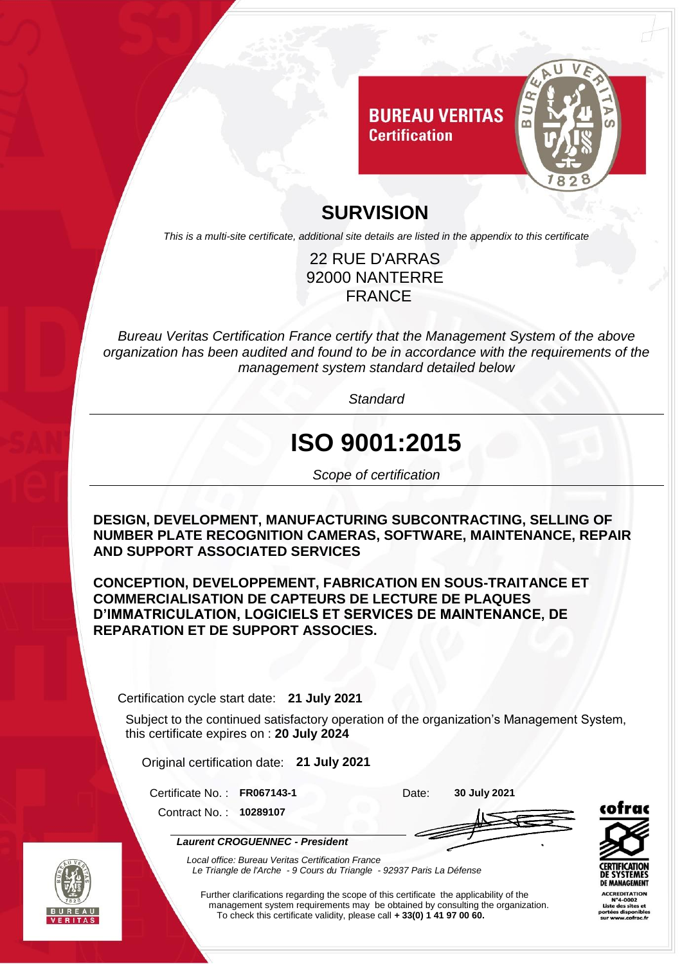

### **SURVISION**

*This is a multi-site certificate, additional site details are listed in the appendix to this certificate*

#### 22 RUE D'ARRAS 92000 NANTERRE FRANCE

*Bureau Veritas Certification France certify that the Management System of the above organization has been audited and found to be in accordance with the requirements of the management system standard detailed below*

*Standard*

# **ISO 9001:2015**

*Scope of certification*

**DESIGN, DEVELOPMENT, MANUFACTURING SUBCONTRACTING, SELLING OF NUMBER PLATE RECOGNITION CAMERAS, SOFTWARE, MAINTENANCE, REPAIR AND SUPPORT ASSOCIATED SERVICES**

**CONCEPTION, DEVELOPPEMENT, FABRICATION EN SOUS-TRAITANCE ET COMMERCIALISATION DE CAPTEURS DE LECTURE DE PLAQUES D'IMMATRICULATION, LOGICIELS ET SERVICES DE MAINTENANCE, DE REPARATION ET DE SUPPORT ASSOCIES.**

Certification cycle start date: **21 July 2021**

Subject to the continued satisfactory operation of the organization's Management System, this certificate expires on : **20 July 2024**

Original certification date: **21 July 2021**

Certificate No. : **FR067143-1** Date: **30 July 2021**

Contract No. : **10289107**

*Laurent CROGUENNEC - President*





*Local office: Bureau Veritas Certification France Le Triangle de l'Arche - 9 Cours du Triangle - 92937 Paris La Défense*

Further clarifications regarding the scope of this certificate the applicability of the management system requirements may be obtained by consulting the organization. To check this certificate validity, please call **+ 33(0) 1 41 97 00 60.**